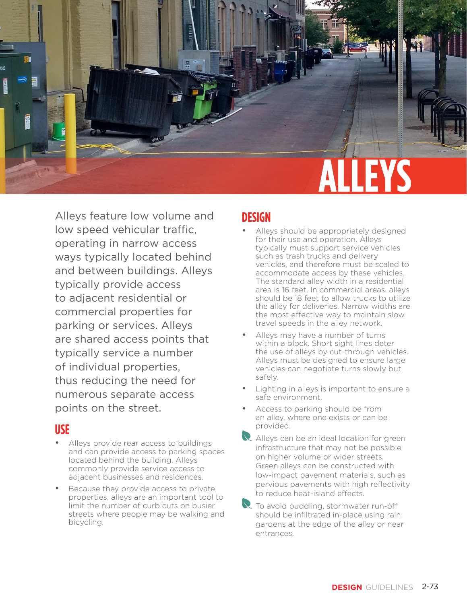

Alleys feature low volume and low speed vehicular traffic, operating in narrow access ways typically located behind and between buildings. Alleys typically provide access to adjacent residential or commercial properties for parking or services. Alleys are shared access points that typically service a number of individual properties, thus reducing the need for numerous separate access points on the street.

#### **USE**

- Alleys provide rear access to buildings and can provide access to parking spaces located behind the building. Alleys commonly provide service access to adjacent businesses and residences.
- Because they provide access to private properties, alleys are an important tool to limit the number of curb cuts on busier streets where people may be walking and bicycling.

### **DESIGN**

- Alleys should be appropriately designed for their use and operation. Alleys typically must support service vehicles such as trash trucks and delivery vehicles, and therefore must be scaled to accommodate access by these vehicles. The standard alley width in a residential area is 16 feet. In commercial areas, alleys should be 18 feet to allow trucks to utilize the alley for deliveries. Narrow widths are the most effective way to maintain slow travel speeds in the alley network.
- Alleys may have a number of turns within a block. Short sight lines deter the use of alleys by cut-through vehicles. Alleys must be designed to ensure large vehicles can negotiate turns slowly but safely.
- Lighting in alleys is important to ensure a safe environment.
- Access to parking should be from an alley, where one exists or can be provided.
- Alleys can be an ideal location for green infrastructure that may not be possible on higher volume or wider streets. Green alleys can be constructed with low-impact pavement materials, such as pervious pavements with high reflectivity to reduce heat-island effects.
- $\mathbb R$  To avoid puddling, stormwater run-off should be infiltrated in-place using rain gardens at the edge of the alley or near entrances.